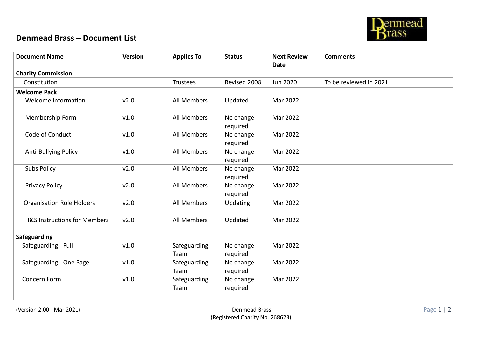

## **Denmead Brass – Document List**

| <b>Document Name</b>                    | <b>Version</b> | <b>Applies To</b>    | <b>Status</b>         | <b>Next Review</b> | <b>Comments</b>        |
|-----------------------------------------|----------------|----------------------|-----------------------|--------------------|------------------------|
|                                         |                |                      |                       | <b>Date</b>        |                        |
| <b>Charity Commission</b>               |                |                      |                       |                    |                        |
| Constitution                            |                | <b>Trustees</b>      | Revised 2008          | Jun 2020           | To be reviewed in 2021 |
| <b>Welcome Pack</b>                     |                |                      |                       |                    |                        |
| Welcome Information                     | v2.0           | All Members          | Updated               | Mar 2022           |                        |
| Membership Form                         | v1.0           | All Members          | No change<br>required | Mar 2022           |                        |
| Code of Conduct                         | v1.0           | All Members          | No change<br>required | Mar 2022           |                        |
| Anti-Bullying Policy                    | v1.0           | All Members          | No change<br>required | Mar 2022           |                        |
| <b>Subs Policy</b>                      | v2.0           | All Members          | No change<br>required | Mar 2022           |                        |
| <b>Privacy Policy</b>                   | v2.0           | All Members          | No change<br>required | Mar 2022           |                        |
| <b>Organisation Role Holders</b>        | v2.0           | All Members          | Updating              | Mar 2022           |                        |
| <b>H&amp;S Instructions for Members</b> | v2.0           | All Members          | Updated               | Mar 2022           |                        |
| Safeguarding                            |                |                      |                       |                    |                        |
| Safeguarding - Full                     | v1.0           | Safeguarding<br>Team | No change<br>required | Mar 2022           |                        |
| Safeguarding - One Page                 | v1.0           | Safeguarding<br>Team | No change<br>required | Mar 2022           |                        |
| Concern Form                            | v1.0           | Safeguarding<br>Team | No change<br>required | Mar 2022           |                        |